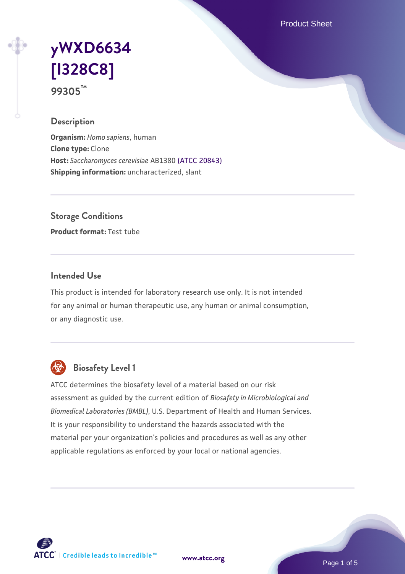Product Sheet

# **[yWXD6634](https://www.atcc.org/products/99305) [\[I328C8\]](https://www.atcc.org/products/99305) 99305™**

### **Description**

**Organism:** *Homo sapiens*, human **Clone type:** Clone **Host:** *Saccharomyces cerevisiae* AB1380 [\(ATCC 20843\)](https://www.atcc.org/products/20843) **Shipping information:** uncharacterized, slant

**Storage Conditions**

**Product format:** Test tube

### **Intended Use**

This product is intended for laboratory research use only. It is not intended for any animal or human therapeutic use, any human or animal consumption, or any diagnostic use.



# **Biosafety Level 1**

ATCC determines the biosafety level of a material based on our risk assessment as guided by the current edition of *Biosafety in Microbiological and Biomedical Laboratories (BMBL)*, U.S. Department of Health and Human Services. It is your responsibility to understand the hazards associated with the material per your organization's policies and procedures as well as any other applicable regulations as enforced by your local or national agencies.

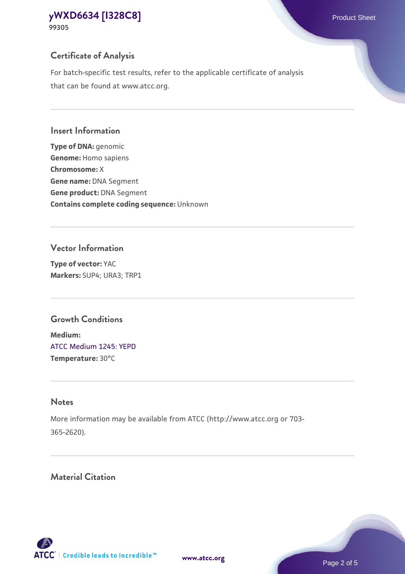# **Certificate of Analysis**

For batch-specific test results, refer to the applicable certificate of analysis that can be found at www.atcc.org.

## **Insert Information**

**Type of DNA:** genomic **Genome:** Homo sapiens **Chromosome:** X **Gene name:** DNA Segment **Gene product:** DNA Segment **Contains complete coding sequence:** Unknown

## **Vector Information**

**Type of vector:** YAC **Markers:** SUP4; URA3; TRP1

# **Growth Conditions**

**Medium:**  [ATCC Medium 1245: YEPD](https://www.atcc.org/-/media/product-assets/documents/microbial-media-formulations/1/2/4/5/atcc-medium-1245.pdf?rev=705ca55d1b6f490a808a965d5c072196) **Temperature:** 30°C

# **Notes**

More information may be available from ATCC (http://www.atcc.org or 703- 365-2620).

# **Material Citation**

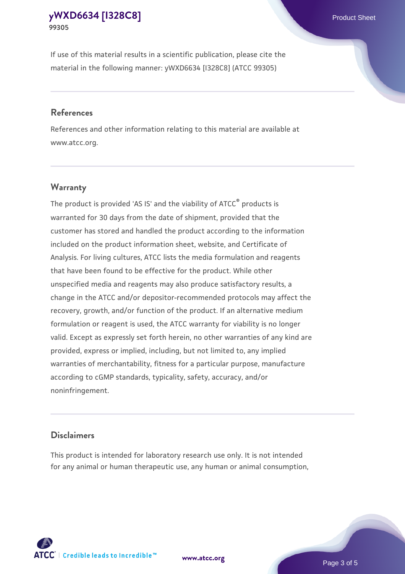If use of this material results in a scientific publication, please cite the material in the following manner: yWXD6634 [I328C8] (ATCC 99305)

#### **References**

References and other information relating to this material are available at www.atcc.org.

## **Warranty**

The product is provided 'AS IS' and the viability of  $ATCC<sup>®</sup>$  products is warranted for 30 days from the date of shipment, provided that the customer has stored and handled the product according to the information included on the product information sheet, website, and Certificate of Analysis. For living cultures, ATCC lists the media formulation and reagents that have been found to be effective for the product. While other unspecified media and reagents may also produce satisfactory results, a change in the ATCC and/or depositor-recommended protocols may affect the recovery, growth, and/or function of the product. If an alternative medium formulation or reagent is used, the ATCC warranty for viability is no longer valid. Except as expressly set forth herein, no other warranties of any kind are provided, express or implied, including, but not limited to, any implied warranties of merchantability, fitness for a particular purpose, manufacture according to cGMP standards, typicality, safety, accuracy, and/or noninfringement.

#### **Disclaimers**

This product is intended for laboratory research use only. It is not intended for any animal or human therapeutic use, any human or animal consumption,

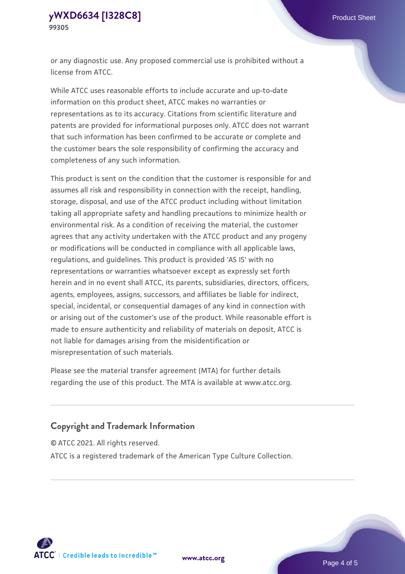or any diagnostic use. Any proposed commercial use is prohibited without a license from ATCC.

While ATCC uses reasonable efforts to include accurate and up-to-date information on this product sheet, ATCC makes no warranties or representations as to its accuracy. Citations from scientific literature and patents are provided for informational purposes only. ATCC does not warrant that such information has been confirmed to be accurate or complete and the customer bears the sole responsibility of confirming the accuracy and completeness of any such information.

This product is sent on the condition that the customer is responsible for and assumes all risk and responsibility in connection with the receipt, handling, storage, disposal, and use of the ATCC product including without limitation taking all appropriate safety and handling precautions to minimize health or environmental risk. As a condition of receiving the material, the customer agrees that any activity undertaken with the ATCC product and any progeny or modifications will be conducted in compliance with all applicable laws, regulations, and guidelines. This product is provided 'AS IS' with no representations or warranties whatsoever except as expressly set forth herein and in no event shall ATCC, its parents, subsidiaries, directors, officers, agents, employees, assigns, successors, and affiliates be liable for indirect, special, incidental, or consequential damages of any kind in connection with or arising out of the customer's use of the product. While reasonable effort is made to ensure authenticity and reliability of materials on deposit, ATCC is not liable for damages arising from the misidentification or misrepresentation of such materials.

Please see the material transfer agreement (MTA) for further details regarding the use of this product. The MTA is available at www.atcc.org.

## **Copyright and Trademark Information**

© ATCC 2021. All rights reserved.

ATCC is a registered trademark of the American Type Culture Collection.



**[www.atcc.org](http://www.atcc.org)**